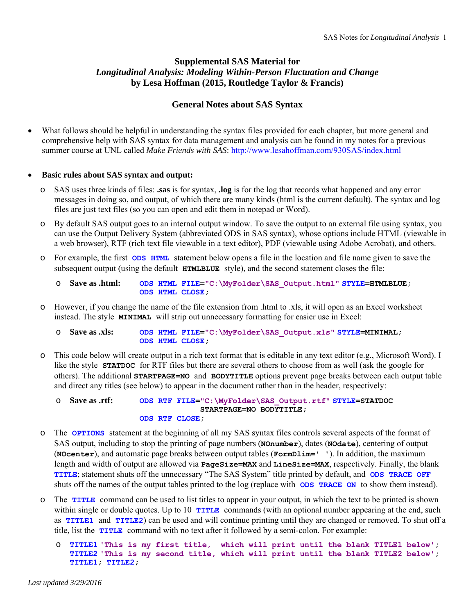# **Supplemental SAS Material for**  *Longitudinal Analysis: Modeling Within-Person Fluctuation and Change* **by Lesa Hoffman (2015, Routledge Taylor & Francis)**

## **General Notes about SAS Syntax**

 What follows should be helpful in understanding the syntax files provided for each chapter, but more general and comprehensive help with SAS syntax for data management and analysis can be found in my notes for a previous summer course at UNL called *Make Friends with SAS*: http://www.lesahoffman.com/930SAS/index.html

### **Basic rules about SAS syntax and output:**

- o SAS uses three kinds of files: **.sas** is for syntax, **.log** is for the log that records what happened and any error messages in doing so, and output, of which there are many kinds (html is the current default). The syntax and log files are just text files (so you can open and edit them in notepad or Word).
- o By default SAS output goes to an internal output window. To save the output to an external file using syntax, you can use the Output Delivery System (abbreviated ODS in SAS syntax), whose options include HTML (viewable in a web browser), RTF (rich text file viewable in a text editor), PDF (viewable using Adobe Acrobat), and others.
- o For example, the first **ODS HTML** statement below opens a file in the location and file name given to save the subsequent output (using the default **HTMLBLUE** style), and the second statement closes the file:

| $\circ$ Save as .html: |  | ODS HTML FILE="C:\MyFolder\SAS Output.html" STYLE=HTMLBLUE; |  |
|------------------------|--|-------------------------------------------------------------|--|
|                        |  | ODS HTML CLOSE,                                             |  |

o However, if you change the name of the file extension from .html to .xls, it will open as an Excel worksheet instead. The style **MINIMAL** will strip out unnecessary formatting for easier use in Excel:

o **Save as .xls: ODS HTML FILE="C:\MyFolder\SAS\_Output.xls" STYLE=MINIMAL; ODS HTML CLOSE;**

o This code below will create output in a rich text format that is editable in any text editor (e.g., Microsoft Word). I like the style **STATDOC** for RTF files but there are several others to choose from as well (ask the google for others). The additional **STARTPAGE=NO** and **BODYTITLE** options prevent page breaks between each output table and direct any titles (see below) to appear in the document rather than in the header, respectively:

```
o Save as .rtf: ODS RTF FILE="C:\MyFolder\SAS_Output.rtf" STYLE=STATDOC 
                                STARTPAGE=NO BODYTITLE;
                   ODS RTF CLOSE;
```
- o The **OPTIONS** statement at the beginning of all my SAS syntax files controls several aspects of the format of SAS output, including to stop the printing of page numbers (**NOnumber**), dates (**NOdate**), centering of output (**NOcenter**), and automatic page breaks between output tables (**FormDlim=' '**). In addition, the maximum length and width of output are allowed via **PageSize=MAX** and **LineSize=MAX**, respectively. Finally, the blank **TITLE**; statement shuts off the unnecessary "The SAS System" title printed by default, and **ODS TRACE OFF** shuts off the names of the output tables printed to the log (replace with **ODS TRACE ON** to show them instead).
- o The **TITLE** command can be used to list titles to appear in your output, in which the text to be printed is shown within single or double quotes. Up to 10 **TITLE** commands (with an optional number appearing at the end, such as **TITLE1** and **TITLE2**) can be used and will continue printing until they are changed or removed. To shut off a title, list the **TITLE** command with no text after it followed by a semi-colon. For example:
	- o **TITLE1 'This is my first title, which will print until the blank TITLE1 below'; TITLE2 'This is my second title, which will print until the blank TITLE2 below'; TITLE1; TITLE2;**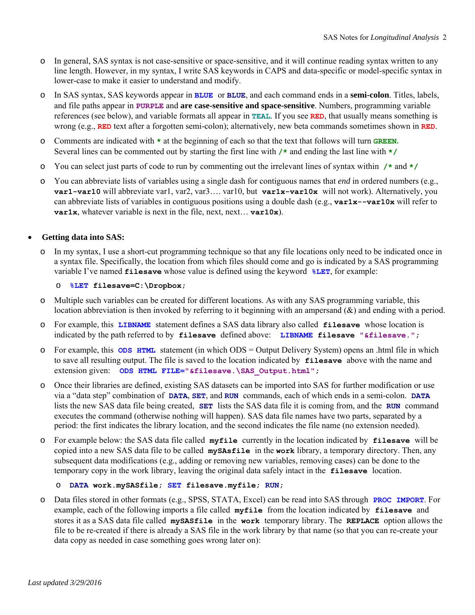- o In general, SAS syntax is not case-sensitive or space-sensitive, and it will continue reading syntax written to any line length. However, in my syntax, I write SAS keywords in CAPS and data-specific or model-specific syntax in lower-case to make it easier to understand and modify.
- o In SAS syntax, SAS keywords appear in **BLUE** or **BLUE**, and each command ends in a **semi-colon**. Titles, labels, and file paths appear in **PURPLE** and **are case-sensitive and space-sensitive**. Numbers, programming variable references (see below), and variable formats all appear in **TEAL**. If you see **RED**, that usually means something is wrong (e.g., **RED** text after a forgotten semi-colon); alternatively, new beta commands sometimes shown in **RED**.
- o Comments are indicated with **\*** at the beginning of each so that the text that follows will turn **GREEN.** Several lines can be commented out by starting the first line with **/\*** and ending the last line with **\*/**
- o You can select just parts of code to run by commenting out the irrelevant lines of syntax within **/\*** and **\*/**
- o You can abbreviate lists of variables using a single dash for contiguous names that *end* in ordered numbers (e.g., **var1-var10** will abbreviate var1, var2, var3…. var10, but **var1x-var10x** will not work). Alternatively, you can abbreviate lists of variables in contiguous positions using a double dash (e.g., **var1x--var10x** will refer to **var1x**, whatever variable is next in the file, next, next... **var10x**).

### **Getting data into SAS:**

o In my syntax, I use a short-cut programming technique so that any file locations only need to be indicated once in a syntax file. Specifically, the location from which files should come and go is indicated by a SAS programming variable I've named **filesave** whose value is defined using the keyword **%LET**, for example:

### o **%LET filesave=C:\Dropbox;**

- o Multiple such variables can be created for different locations. As with any SAS programming variable, this location abbreviation is then invoked by referring to it beginning with an ampersand  $(\&)$  and ending with a period.
- o For example, this **LIBNAME** statement defines a SAS data library also called **filesave** whose location is indicated by the path referred to by **filesave** defined above: **LIBNAME filesave "&filesave.";**
- o For example, this **ODS HTML** statement (in which ODS = Output Delivery System) opens an .html file in which to save all resulting output. The file is saved to the location indicated by **filesave** above with the name and extension given: ODS HTML FILE="&filesave. \SAS Output.html";
- o Once their libraries are defined, existing SAS datasets can be imported into SAS for further modification or use via a "data step" combination of **DATA**, **SET**, and **RUN** commands, each of which ends in a semi-colon. **DATA**  lists the new SAS data file being created, **SET** lists the SAS data file it is coming from, and the **RUN** command executes the command (otherwise nothing will happen). SAS data file names have two parts, separated by a period: the first indicates the library location, and the second indicates the file name (no extension needed).
- o For example below: the SAS data file called **myfile** currently in the location indicated by **filesave** will be copied into a new SAS data file to be called **mySAsfile** in the **work** library, a temporary directory. Then, any subsequent data modifications (e.g., adding or removing new variables, removing cases) can be done to the temporary copy in the work library, leaving the original data safely intact in the **filesave** location.

```
o DATA work.mySASfile; SET filesave.myfile; RUN;
```
o Data files stored in other formats (e.g., SPSS, STATA, Excel) can be read into SAS through **PROC IMPORT**. For example, each of the following imports a file called **myfile** from the location indicated by **filesave** and stores it as a SAS data file called **mySASfile** in the **work** temporary library. The **REPLACE** option allows the file to be re-created if there is already a SAS file in the work library by that name (so that you can re-create your data copy as needed in case something goes wrong later on):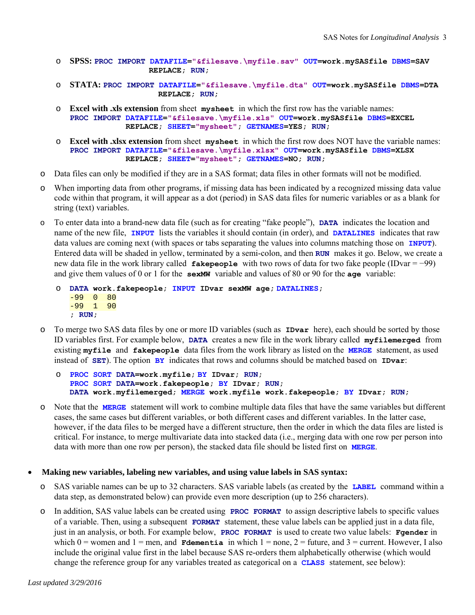- o **SPSS: PROC IMPORT DATAFILE="&filesave.\myfile.sav" OUT=work.mySASfile DBMS=SAV REPLACE; RUN;**
- o **STATA: PROC IMPORT DATAFILE="&filesave.\myfile.dta" OUT=work.mySASfile DBMS=DTA REPLACE; RUN;**
- o **Excel with .xls extension** from sheet **mysheet** in which the first row has the variable names: **PROC IMPORT DATAFILE="&filesave.\myfile.xls" OUT=work.mySASfile DBMS=EXCEL REPLACE; SHEET="mysheet"; GETNAMES=YES; RUN;**
- o **Excel with .xlsx extension** from sheet **mysheet** in which the first row does NOT have the variable names: **PROC IMPORT DATAFILE="&filesave.\myfile.xlsx" OUT=work.mySASfile DBMS=XLSX REPLACE; SHEET="mysheet"; GETNAMES=NO; RUN;**
- o Data files can only be modified if they are in a SAS format; data files in other formats will not be modified.
- o When importing data from other programs, if missing data has been indicated by a recognized missing data value code within that program, it will appear as a dot (period) in SAS data files for numeric variables or as a blank for string (text) variables.
- o To enter data into a brand-new data file (such as for creating "fake people"), **DATA** indicates the location and name of the new file, **INPUT** lists the variables it should contain (in order), and **DATALINES** indicates that raw data values are coming next (with spaces or tabs separating the values into columns matching those on **INPUT**). Entered data will be shaded in yellow, terminated by a semi-colon, and then **RUN** makes it go. Below, we create a new data file in the work library called **fakepeople** with two rows of data for two fake people (IDvar = −99) and give them values of 0 or 1 for the **sexMW** variable and values of 80 or 90 for the **age** variable:

```
o DATA work.fakepeople; INPUT IDvar sexMW age; DATALINES;
   -99 0 80 
   -99 1 90 
   ; RUN;
```
o To merge two SAS data files by one or more ID variables (such as **IDvar** here), each should be sorted by those ID variables first. For example below, **DATA** creates a new file in the work library called **myfilemerged** from existing **myfile** and **fakepeople** data files from the work library as listed on the **MERGE** statement, as used instead of **SET**). The option **BY** indicates that rows and columns should be matched based on **IDvar**:

```
o PROC SORT DATA=work.myfile; BY IDvar; RUN;
PROC SORT DATA=work.fakepeople; BY IDvar; RUN;
DATA work.myfilemerged; MERGE work.myfile work.fakepeople; BY IDvar; RUN;
```
o Note that the **MERGE** statement will work to combine multiple data files that have the same variables but different cases, the same cases but different variables, or both different cases and different variables. In the latter case, however, if the data files to be merged have a different structure, then the order in which the data files are listed is critical. For instance, to merge multivariate data into stacked data (i.e., merging data with one row per person into data with more than one row per person), the stacked data file should be listed first on **MERGE**.

#### **Making new variables, labeling new variables, and using value labels in SAS syntax:**

- o SAS variable names can be up to 32 characters. SAS variable labels (as created by the **LABEL** command within a data step, as demonstrated below) can provide even more description (up to 256 characters).
- o In addition, SAS value labels can be created using **PROC FORMAT** to assign descriptive labels to specific values of a variable. Then, using a subsequent **FORMAT** statement, these value labels can be applied just in a data file, just in an analysis, or both. For example below, **PROC FORMAT** is used to create two value labels: **Fgender** in which  $0 =$  women and  $1 =$  men, and **Fdementia** in which  $1 =$  none,  $2 =$  future, and  $3 =$  current. However, I also include the original value first in the label because SAS re-orders them alphabetically otherwise (which would change the reference group for any variables treated as categorical on a **CLASS** statement, see below):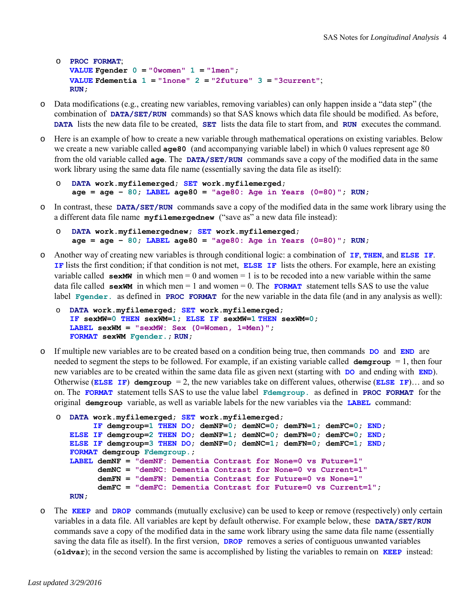```
o PROC FORMAT; 
   VALUE Fgender 0 = 0 Women 1 = 1men \prime;
   VALUE Fdementia 1 = "1none" 2 = "2future" 3 = "3current"; 
   RUN;
```
- o Data modifications (e.g., creating new variables, removing variables) can only happen inside a "data step" (the combination of **DATA/SET/RUN** commands) so that SAS knows which data file should be modified. As before, **DATA** lists the new data file to be created, **SET** lists the data file to start from, and **RUN** executes the command.
- o Here is an example of how to create a new variable through mathematical operations on existing variables. Below we create a new variable called **age80** (and accompanying variable label) in which 0 values represent age 80 from the old variable called **age**. The **DATA/SET/RUN** commands save a copy of the modified data in the same work library using the same data file name (essentially saving the data file as itself):

```
o DATA work.myfilemerged; SET work.myfilemerged; 
   age = age – 80; LABEL age80 = "age80: Age in Years (0=80)"; RUN;
```
o In contrast, these **DATA/SET/RUN** commands save a copy of the modified data in the same work library using the a different data file name **myfilemergednew** ("save as" a new data file instead):

```
o DATA work.myfilemergednew; SET work.myfilemerged; 
   age = age – 80; LABEL age80 = "age80: Age in Years (0=80)"; RUN;
```
- o Another way of creating new variables is through conditional logic: a combination of **IF**, **THEN**, and **ELSE IF**. **IF** lists the first condition; if that condition is not met, **ELSE IF** lists the others. For example, here an existing variable called  $\epsilon$ **sexMW** in which men = 0 and women = 1 is to be recoded into a new variable within the same data file called  $s \in x$ WM in which men = 1 and women = 0. The **FORMAT** statement tells SAS to use the value label **Fgender.** as defined in **PROC FORMAT** for the new variable in the data file (and in any analysis as well):
	- o **DATA work.myfilemerged; SET work.myfilemerged; IF sexMW=0 THEN sexWM=1; ELSE IF sexMW=1 THEN sexWM=0;** LABEL sexWM = "sexMW: Sex (0=Women, 1=Men)"; **FORMAT sexWM Fgender.; RUN;**
- o If multiple new variables are to be created based on a condition being true, then commands **DO** and **END** are needed to segment the steps to be followed. For example, if an existing variable called  $\Delta$ **emgroup** = 1, then four new variables are to be created within the same data file as given next (starting with **DO** and ending with **END**). Otherwise (**ELSE IF**) demgroup  $= 2$ , the new variables take on different values, otherwise (**ELSE IF**)... and so on. The **FORMAT** statement tells SAS to use the value label **Fdemgroup.** as defined in **PROC FORMAT** for the original **demgroup** variable, as well as variable labels for the new variables via the **LABEL** command:

```
o DATA work.myfilemerged; SET work.myfilemerged; 
         IF demgroup=1 THEN DO; demNF=0; demNC=0; demFN=1; demFC=0; END;
   ELSE IF demgroup=2 THEN DO; demNF=1; demNC=0; demFN=0; demFC=0; END; 
   ELSE IF demgroup=3 THEN DO; demNF=0; demNC=1; demFN=0; demFC=1; END; 
   FORMAT demgroup Fdemgroup.;
   LABEL demNF = "demNF: Dementia Contrast for None=0 vs Future=1"
          demNC = "demNC: Dementia Contrast for None=0 vs Current=1"
          demFN = "demFN: Dementia Contrast for Future=0 vs None=1"
          demFC = "demFC: Dementia Contrast for Future=0 vs Current=1";
   RUN;
```
o The **KEEP** and **DROP** commands (mutually exclusive) can be used to keep or remove (respectively) only certain variables in a data file. All variables are kept by default otherwise. For example below, these **DATA/SET/RUN**  commands save a copy of the modified data in the same work library using the same data file name (essentially saving the data file as itself). In the first version, **DROP** removes a series of contiguous unwanted variables (**oldvar**); in the second version the same is accomplished by listing the variables to remain on **KEEP** instead: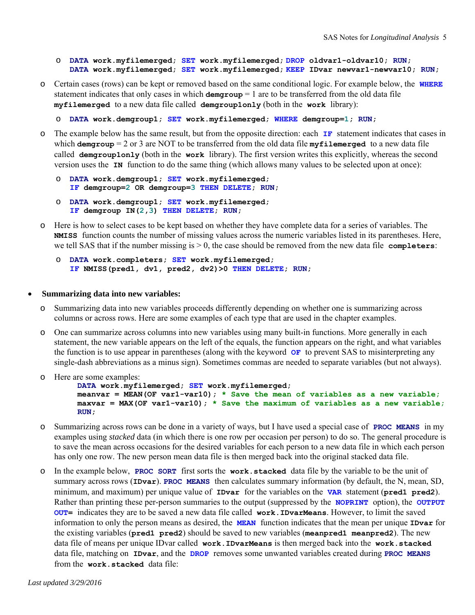```
o DATA work.myfilemerged; SET work.myfilemerged; DROP oldvar1-oldvar10; RUN; 
   DATA work.myfilemerged; SET work.myfilemerged; KEEP IDvar newvar1-newvar10; RUN;
```
o Certain cases (rows) can be kept or removed based on the same conditional logic. For example below, the **WHERE**  statement indicates that only cases in which  $\text{demgroup} = 1$  are to be transferred from the old data file **myfilemerged** to a new data file called **demgroup1only** (both in the **work** library):

o **DATA work.demgroup1; SET work.myfilemerged; WHERE demgroup=1; RUN;**

- o The example below has the same result, but from the opposite direction: each **IF** statement indicates that cases in which **demgroup** = 2 or 3 are NOT to be transferred from the old data file **myfilemerged** to a new data file called **demgroup1only** (both in the **work** library). The first version writes this explicitly, whereas the second version uses the **IN** function to do the same thing (which allows many values to be selected upon at once):
	- o **DATA work.demgroup1; SET work.myfilemerged; IF demgroup=2 OR demgroup=3 THEN DELETE; RUN;**

```
o DATA work.demgroup1; SET work.myfilemerged; 
   IF demgroup IN(2,3) THEN DELETE; RUN;
```
- o Here is how to select cases to be kept based on whether they have complete data for a series of variables. The **NMISS** function counts the number of missing values across the numeric variables listed in its parentheses. Here, we tell SAS that if the number missing is  $> 0$ , the case should be removed from the new data file completers:
	- o **DATA work.completers; SET work.myfilemerged; IF NMISS(pred1, dv1, pred2, dv2)>0 THEN DELETE; RUN;**

#### **Summarizing data into new variables:**

- o Summarizing data into new variables proceeds differently depending on whether one is summarizing across columns or across rows. Here are some examples of each type that are used in the chapter examples.
- o One can summarize across columns into new variables using many built-in functions. More generally in each statement, the new variable appears on the left of the equals, the function appears on the right, and what variables the function is to use appear in parentheses (along with the keyword **OF** to prevent SAS to misinterpreting any single-dash abbreviations as a minus sign). Sometimes commas are needed to separate variables (but not always).

```
o Here are some examples: 
         DATA work.myfilemerged; SET work.myfilemerged; 
         meanvar = MEAN(OF var1-var10); * Save the mean of variables as a new variable;
         maxvar = MAX(OF var1-var10); * Save the maximum of variables as a new variable;
         RUN;
```
- o Summarizing across rows can be done in a variety of ways, but I have used a special case of **PROC MEANS** in my examples using *stacked* data (in which there is one row per occasion per person) to do so. The general procedure is to save the mean across occasions for the desired variables for each person to a new data file in which each person has only one row. The new person mean data file is then merged back into the original stacked data file.
- o In the example below, **PROC SORT** first sorts the **work.stacked** data file by the variable to be the unit of summary across rows (**IDvar**). **PROC MEANS** then calculates summary information (by default, the N, mean, SD, minimum, and maximum) per unique value of **IDvar** for the variables on the **VAR** statement (**pred1 pred2**). Rather than printing these per-person summaries to the output (suppressed by the **NOPRINT** option), the **OUTPUT OUT=** indicates they are to be saved a new data file called **work.IDvarMeans**. However, to limit the saved information to only the person means as desired, the **MEAN** function indicates that the mean per unique **IDvar** for the existing variables (**pred1 pred2**) should be saved to new variables (**meanpred1 meanpred2**). The new data file of means per unique IDvar called **work.IDvarMeans** is then merged back into the **work.stacked**  data file, matching on **IDvar**, and the **DROP** removes some unwanted variables created during **PROC MEANS**  from the **work.stacked** data file: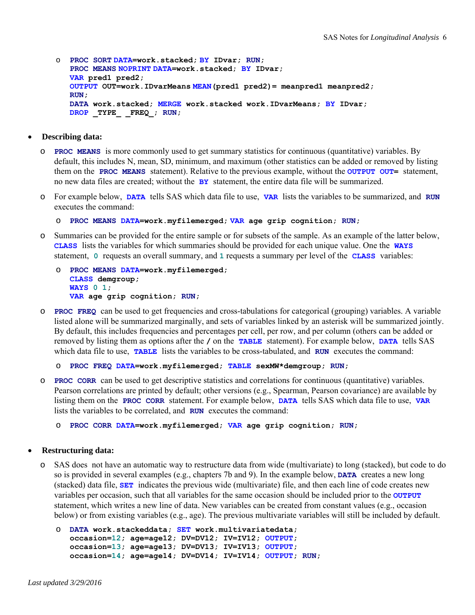```
o PROC SORT DATA=work.stacked; BY IDvar; RUN;
   PROC MEANS NOPRINT DATA=work.stacked; BY IDvar; 
   VAR pred1 pred2;
   OUTPUT OUT=work.IDvarMeans MEAN(pred1 pred2)= meanpred1 meanpred2; 
   RUN; 
   DATA work.stacked; MERGE work.stacked work.IDvarMeans; BY IDvar;
   DROP _TYPE_ _FREQ_; RUN;
```
- **Describing data:** 
	- o **PROC MEANS** is more commonly used to get summary statistics for continuous (quantitative) variables. By default, this includes N, mean, SD, minimum, and maximum (other statistics can be added or removed by listing them on the **PROC MEANS** statement). Relative to the previous example, without the **OUTPUT OUT=** statement, no new data files are created; without the **BY** statement, the entire data file will be summarized.
	- o For example below, **DATA** tells SAS which data file to use, **VAR** lists the variables to be summarized, and **RUN**  executes the command:

```
o PROC MEANS DATA=work.myfilemerged; VAR age grip cognition; RUN;
```
o Summaries can be provided for the entire sample or for subsets of the sample. As an example of the latter below, **CLASS** lists the variables for which summaries should be provided for each unique value. One the **WAYS**  statement, **0** requests an overall summary, and **1** requests a summary per level of the **CLASS** variables:

```
o PROC MEANS DATA=work.myfilemerged; 
   CLASS demgroup; 
   WAYS 0 1;
   VAR age grip cognition; RUN;
```
o **PROC FREQ** can be used to get frequencies and cross-tabulations for categorical (grouping) variables. A variable listed alone will be summarized marginally, and sets of variables linked by an asterisk will be summarized jointly. By default, this includes frequencies and percentages per cell, per row, and per column (others can be added or removed by listing them as options after the **/** on the **TABLE** statement). For example below, **DATA** tells SAS which data file to use, **TABLE** lists the variables to be cross-tabulated, and **RUN** executes the command:

```
o PROC FREQ DATA=work.myfilemerged; TABLE sexMW*demgroup; RUN;
```
o **PROC CORR** can be used to get descriptive statistics and correlations for continuous (quantitative) variables. Pearson correlations are printed by default; other versions (e.g., Spearman, Pearson covariance) are available by listing them on the **PROC CORR** statement. For example below, **DATA** tells SAS which data file to use, **VAR**  lists the variables to be correlated, and **RUN** executes the command:

```
o PROC CORR DATA=work.myfilemerged; VAR age grip cognition; RUN;
```
#### **Restructuring data:**

SAS does not have an automatic way to restructure data from wide (multivariate) to long (stacked), but code to do so is provided in several examples (e.g., chapters 7b and 9). In the example below, **DATA** creates a new long (stacked) data file, **SET** indicates the previous wide (multivariate) file, and then each line of code creates new variables per occasion, such that all variables for the same occasion should be included prior to the **OUTPUT** statement, which writes a new line of data. New variables can be created from constant values (e.g., occasion below) or from existing variables (e.g., age). The previous multivariate variables will still be included by default.

```
o DATA work.stackeddata; SET work.multivariatedata; 
   occasion=12; age=age12; DV=DV12; IV=IV12; OUTPUT; 
   occasion=13; age=age13; DV=DV13; IV=IV13; OUTPUT; 
   occasion=14; age=age14; DV=DV14; IV=IV14; OUTPUT; RUN;
```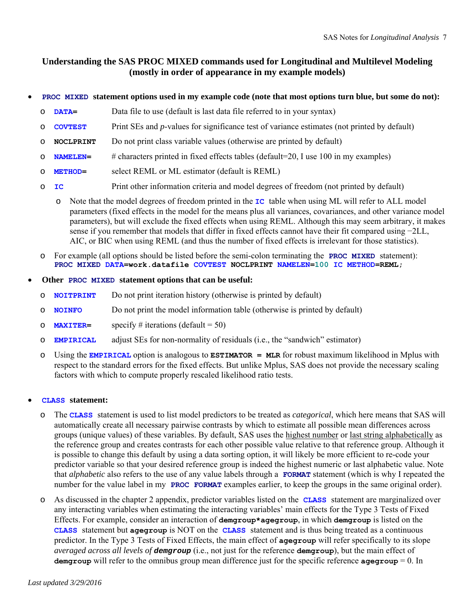# **Understanding the SAS PROC MIXED commands used for Longitudinal and Multilevel Modeling (mostly in order of appearance in my example models)**

### **PROC MIXED statement options used in my example code (note that most options turn blue, but some do not):**

- o **DATA=** Data file to use (default is last data file referred to in your syntax)
- o **COVTEST** Print SEs and *p*-values for significance test of variance estimates (not printed by default)
- o **NOCLPRINT** Do not print class variable values (otherwise are printed by default)
- o **NAMELEN=** # characters printed in fixed effects tables (default=20, I use 100 in my examples)
- o **METHOD=** select REML or ML estimator (default is REML)
- o **IC** Print other information criteria and model degrees of freedom (not printed by default)
	- o Note that the model degrees of freedom printed in the **IC** table when using ML will refer to ALL model parameters (fixed effects in the model for the means plus all variances, covariances, and other variance model parameters), but will exclude the fixed effects when using REML. Although this may seem arbitrary, it makes sense if you remember that models that differ in fixed effects cannot have their fit compared using −2LL, AIC, or BIC when using REML (and thus the number of fixed effects is irrelevant for those statistics).
- o For example (all options should be listed before the semi-colon terminating the **PROC MIXED** statement): **PROC MIXED DATA=work.datafile COVTEST NOCLPRINT NAMELEN=100 IC METHOD=REML;**

### **Other PROC MIXED statement options that can be useful:**

- o **NOITPRINT** Do not print iteration history (otherwise is printed by default)
- o **NOINFO** Do not print the model information table (otherwise is printed by default)
- o **MAXITER=** specify # iterations (default = 50)
- o **EMPIRICAL** adjust SEs for non-normality of residuals (i.e., the "sandwich" estimator)
- o Using the **EMPIRICAL** option is analogous to **ESTIMATOR = MLR** for robust maximum likelihood in Mplus with respect to the standard errors for the fixed effects. But unlike Mplus, SAS does not provide the necessary scaling factors with which to compute properly rescaled likelihood ratio tests.

### **CLASS statement:**

- o The **CLASS** statement is used to list model predictors to be treated as *categorical*, which here means that SAS will automatically create all necessary pairwise contrasts by which to estimate all possible mean differences across groups (unique values) of these variables. By default, SAS uses the highest number or last string alphabetically as the reference group and creates contrasts for each other possible value relative to that reference group. Although it is possible to change this default by using a data sorting option, it will likely be more efficient to re-code your predictor variable so that your desired reference group is indeed the highest numeric or last alphabetic value. Note that *alphabetic* also refers to the use of any value labels through a **FORMAT** statement (which is why I repeated the number for the value label in my **PROC FORMAT** examples earlier, to keep the groups in the same original order).
- o As discussed in the chapter 2 appendix, predictor variables listed on the **CLASS** statement are marginalized over any interacting variables when estimating the interacting variables' main effects for the Type 3 Tests of Fixed Effects. For example, consider an interaction of **demgroup\*agegroup**, in which **demgroup** is listed on the **CLASS** statement but **agegroup** is NOT on the **CLASS** statement and is thus being treated as a continuous predictor. In the Type 3 Tests of Fixed Effects, the main effect of **agegroup** will refer specifically to its slope *averaged across all levels of demgroup* (i.e., not just for the reference **demgroup**), but the main effect of **demgroup** will refer to the omnibus group mean difference just for the specific reference **agegroup** = 0. In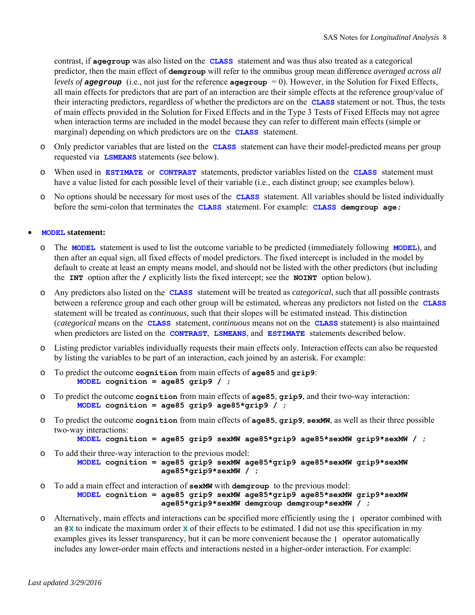contrast, if **agegroup** was also listed on the **CLASS** statement and was thus also treated as a categorical predictor, then the main effect of **demgroup** will refer to the omnibus group mean difference *averaged across all levels of agegroup* (i.e., not just for the reference  $\alpha$  **agegroup** = 0). However, in the Solution for Fixed Effects, all main effects for predictors that are part of an interaction are their simple effects at the reference group/value of their interacting predictors, regardless of whether the predictors are on the **CLASS** statement or not. Thus, the tests of main effects provided in the Solution for Fixed Effects and in the Type 3 Tests of Fixed Effects may not agree when interaction terms are included in the model because they can refer to different main effects (simple or marginal) depending on which predictors are on the **CLASS** statement.

- o Only predictor variables that are listed on the **CLASS** statement can have their model-predicted means per group requested via **LSMEANS** statements (see below).
- o When used in **ESTIMATE** or **CONTRAST** statements, predictor variables listed on the **CLASS** statement must have a value listed for each possible level of their variable (i.e., each distinct group; see examples below).
- o No options should be necessary for most uses of the **CLASS** statement. All variables should be listed individually before the semi-colon that terminates the **CLASS** statement. For example: **CLASS demgroup age;**

### **MODEL statement:**

- o The **MODEL** statement is used to list the outcome variable to be predicted (immediately following **MODEL**), and then after an equal sign, all fixed effects of model predictors. The fixed intercept is included in the model by default to create at least an empty means model, and should not be listed with the other predictors (but including the **INT** option after the **/** explicitly lists the fixed intercept; see the **NOINT** option below).
- o Any predictors also listed on the **CLASS** statement will be treated as *categorical*, such that all possible contrasts between a reference group and each other group will be estimated, whereas any predictors not listed on the **CLASS**  statement will be treated as *continuous*, such that their slopes will be estimated instead. This distinction (*categorical* means on the **CLASS** statement, *continuous* means not on the **CLASS** statement) is also maintained when predictors are listed on the **CONTRAST**, **LSMEANS**, and **ESTIMATE** statements described below.
- o Listing predictor variables individually requests their main effects only. Interaction effects can also be requested by listing the variables to be part of an interaction, each joined by an asterisk. For example:
- o To predict the outcome **cognition** from main effects of **age85** and **grip9**:  **MODEL cognition = age85 grip9 / ;**
- o To predict the outcome **cognition** from main effects of **age85**, **grip9**, and their two-way interaction:  **MODEL cognition = age85 grip9 age85\*grip9 / ;**
- o To predict the outcome **cognition** from main effects of **age85**, **grip9**, **sexMW**, as well as their three possible two-way interactions:

```
 MODEL cognition = age85 grip9 sexMW age85*grip9 age85*sexMW grip9*sexMW / ;
```
- o To add their three-way interaction to the previous model:  **MODEL cognition = age85 grip9 sexMW age85\*grip9 age85\*sexMW grip9\*sexMW age85\*grip9\*sexMW / ;**
- o To add a main effect and interaction of **sexMW** with **demgroup** to the previous model:  **MODEL cognition = age85 grip9 sexMW age85\*grip9 age85\*sexMW grip9\*sexMW age85\*grip9\*sexMW demgroup demgroup\*sexMW / ;**
- o Alternatively, main effects and interactions can be specified more efficiently using the **|** operator combined with an **@X** to indicate the maximum order **X** of their effects to be estimated. I did not use this specification in my examples gives its lesser transparency, but it can be more convenient because the **|** operator automatically includes any lower-order main effects and interactions nested in a higher-order interaction. For example: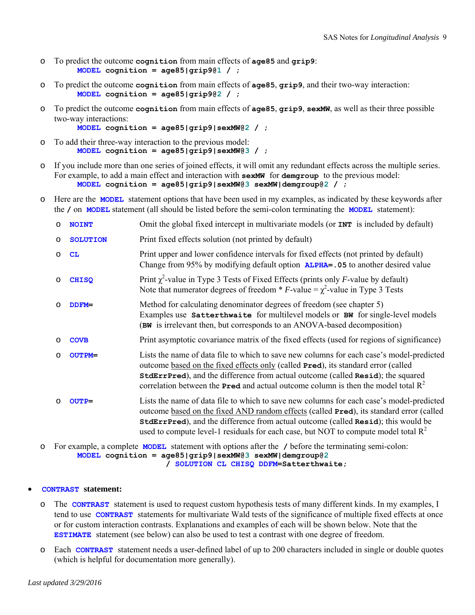- o To predict the outcome **cognition** from main effects of **age85** and **grip9**:  **MODEL cognition = age85|grip9@1 / ;**
- o To predict the outcome **cognition** from main effects of **age85**, **grip9**, and their two-way interaction:  **MODEL cognition = age85|grip9@2 / ;**
- o To predict the outcome **cognition** from main effects of **age85**, **grip9**, **sexMW**, as well as their three possible two-way interactions:

```
 MODEL cognition = age85|grip9|sexMW@2 / ;
```
- o To add their three-way interaction to the previous model:  **MODEL cognition = age85|grip9|sexMW@3 / ;**
- o If you include more than one series of joined effects, it will omit any redundant effects across the multiple series. For example, to add a main effect and interaction with **sexMW** for **demgroup** to the previous model:  **MODEL cognition = age85|grip9|sexMW@3 sexMW|demgroup@2 / ;**
- o Here are the **MODEL** statement options that have been used in my examples, as indicated by these keywords after the **/** on **MODEL** statement (all should be listed before the semi-colon terminating the **MODEL** statement):

| $\circ$ | <b>NOINT</b>    | Omit the global fixed intercept in multivariate models (or <b>INT</b> is included by default)                                                                                                                                                                                                                                                                                            |
|---------|-----------------|------------------------------------------------------------------------------------------------------------------------------------------------------------------------------------------------------------------------------------------------------------------------------------------------------------------------------------------------------------------------------------------|
| $\circ$ | <b>SOLUTION</b> | Print fixed effects solution (not printed by default)                                                                                                                                                                                                                                                                                                                                    |
| $\circ$ | CL              | Print upper and lower confidence intervals for fixed effects (not printed by default)<br>Change from 95% by modifying default option <b>ALPHA= . 05</b> to another desired value                                                                                                                                                                                                         |
| $\circ$ | <b>CHISQ</b>    | Print $\chi^2$ -value in Type 3 Tests of Fixed Effects (prints only <i>F</i> -value by default)<br>Note that numerator degrees of freedom * F-value = $\chi^2$ -value in Type 3 Tests                                                                                                                                                                                                    |
| O       | $DDFM=$         | Method for calculating denominator degrees of freedom (see chapter 5)<br>Examples use Satterthwaite for multilevel models or BW for single-level models<br>(BW is irrelevant then, but corresponds to an ANOVA-based decomposition)                                                                                                                                                      |
| $\circ$ | <b>COVB</b>     | Print asymptotic covariance matrix of the fixed effects (used for regions of significance)                                                                                                                                                                                                                                                                                               |
| $\circ$ | <b>OUTPM=</b>   | Lists the name of data file to which to save new columns for each case's model-predicted<br>outcome based on the fixed effects only (called Pred), its standard error (called<br><b>StdErrPred</b> ), and the difference from actual outcome (called <b>Resid</b> ); the squared<br>correlation between the <b>Pred</b> and actual outcome column is then the model total $\mathbb{R}^2$ |
| ∩       | $OUTP=$         | Lists the name of data file to which to save new columns for each case's model-predicted<br>outcome based on the fixed AND random effects (called Pred), its standard error (called<br><b>StdErrPred)</b> , and the difference from actual outcome (called Resid); this would be<br>used to compute level-1 residuals for each case, but NOT to compute model total $R^2$                |

o For example, a complete **MODEL** statement with options after the **/** before the terminating semi-colon:  **MODEL cognition = age85|grip9|sexMW@3 sexMW|demgroup@2 / SOLUTION CL CHISQ DDFM=Satterthwaite;**

### **CONTRAST statement:**

- o The **CONTRAST** statement is used to request custom hypothesis tests of many different kinds. In my examples, I tend to use **CONTRAST** statements for multivariate Wald tests of the significance of multiple fixed effects at once or for custom interaction contrasts. Explanations and examples of each will be shown below. Note that the **ESTIMATE** statement (see below) can also be used to test a contrast with one degree of freedom.
- o Each **CONTRAST** statement needs a user-defined label of up to 200 characters included in single or double quotes (which is helpful for documentation more generally).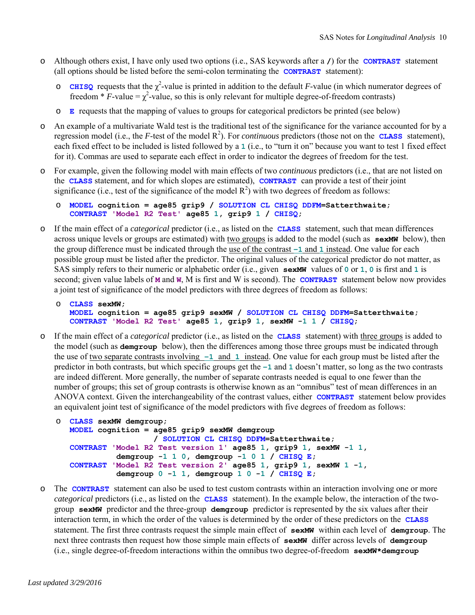- o Although others exist, I have only used two options (i.e., SAS keywords after a **/**) for the **CONTRAST** statement (all options should be listed before the semi-colon terminating the **CONTRAST** statement):
	- **CHISQ** requests that the  $\chi^2$ -value is printed in addition to the default *F*-value (in which numerator degrees of freedom \*  $\vec{F}$ -value =  $\chi^2$ -value, so this is only relevant for multiple degree-of-freedom contrasts)
	- o **E** requests that the mapping of values to groups for categorical predictors be printed (see below)
- o An example of a multivariate Wald test is the traditional test of the significance for the variance accounted for by a regression model (i.e., the  $F$ -test of the model  $\mathbb{R}^2$ ). For *continuous* predictors (those not on the **CLASS** statement), each fixed effect to be included is listed followed by a **1** (i.e., to "turn it on" because you want to test 1 fixed effect for it). Commas are used to separate each effect in order to indicator the degrees of freedom for the test.
- o For example, given the following model with main effects of two *continuous* predictors (i.e., that are not listed on the **CLASS** statement, and for which slopes are estimated), **CONTRAST** can provide a test of their joint significance (i.e., test of the significance of the model  $R^2$ ) with two degrees of freedom as follows:
	- o **MODEL cognition = age85 grip9 / SOLUTION CL CHISQ DDFM=Satterthwaite; CONTRAST 'Model R2 Test' age85 1, grip9 1 / CHISQ;**
- o If the main effect of a *categorical* predictor (i.e., as listed on the **CLASS** statement, such that mean differences across unique levels or groups are estimated) with two groups is added to the model (such as **sexMW** below), then the group difference must be indicated through the use of the contrast **−1** and **1** instead. One value for each possible group must be listed after the predictor. The original values of the categorical predictor do not matter, as SAS simply refers to their numeric or alphabetic order (i.e., given **sexMW** values of **0** or **1**, **0** is first and **1** is second; given value labels of **M** and **W**, M is first and W is second). The **CONTRAST** statement below now provides a joint test of significance of the model predictors with three degrees of freedom as follows:

```
o CLASS sexMW; 
  MODEL cognition = age85 grip9 sexMW / SOLUTION CL CHISQ DDFM=Satterthwaite; 
   CONTRAST 'Model R2 Test' age85 1, grip9 1, sexMW -1 1 / CHISQ;
```
o If the main effect of a *categorical* predictor (i.e., as listed on the **CLASS** statement) with three groups is added to the model (such as **demgroup** below), then the differences among those three groups must be indicated through the use of two separate contrasts involving **−1** and **1** instead. One value for each group must be listed after the predictor in both contrasts, but which specific groups get the **−1** and **1** doesn't matter, so long as the two contrasts are indeed different. More generally, the number of separate contrasts needed is equal to one fewer than the number of groups; this set of group contrasts is otherwise known as an "omnibus" test of mean differences in an ANOVA context. Given the interchangeability of the contrast values, either **CONTRAST** statement below provides an equivalent joint test of significance of the model predictors with five degrees of freedom as follows:

```
o CLASS sexMW demgroup;
  MODEL cognition = age85 grip9 sexMW demgroup 
                      / SOLUTION CL CHISQ DDFM=Satterthwaite; 
   CONTRAST 'Model R2 Test version 1' age85 1, grip9 1, sexMW -1 1, 
              demgroup -1 1 0, demgroup -1 0 1 / CHISQ E; 
   CONTRAST 'Model R2 Test version 2' age85 1, grip9 1, sexMW 1 -1, 
              demgroup 0 -1 1, demgroup 1 0 -1 / CHISQ E;
```
o The **CONTRAST** statement can also be used to test custom contrasts within an interaction involving one or more *categorical* predictors (i.e., as listed on the **CLASS** statement). In the example below, the interaction of the twogroup **sexMW** predictor and the three-group **demgroup** predictor is represented by the six values after their interaction term, in which the order of the values is determined by the order of these predictors on the **CLASS**  statement. The first three contrasts request the simple main effect of **sexMW** within each level of **demgroup**. The next three contrasts then request how those simple main effects of **sexMW** differ across levels of **demgroup**  (i.e., single degree-of-freedom interactions within the omnibus two degree-of-freedom **sexMW\*demgroup**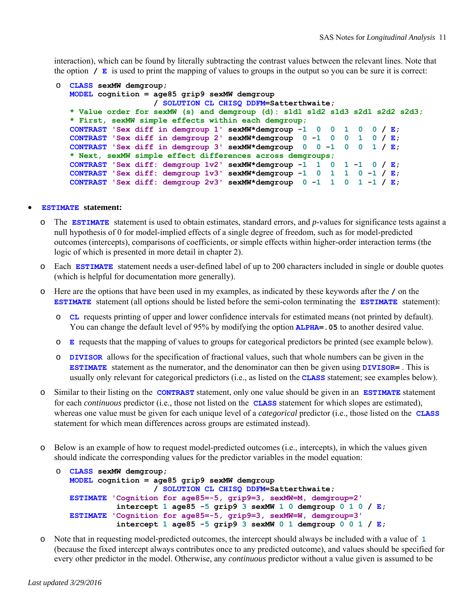interaction), which can be found by literally subtracting the contrast values between the relevant lines. Note that the option **/ E** is used to print the mapping of values to groups in the output so you can be sure it is correct:

```
o CLASS sexMW demgroup;
  MODEL cognition = age85 grip9 sexMW demgroup 
                     / SOLUTION CL CHISQ DDFM=Satterthwaite; 
   * Value order for sexMW (s) and demgroup (d): s1d1 s1d2 s1d3 s2d1 s2d2 s2d3; 
   * First, sexMW simple effects within each demgroup;
  CONTRAST 'Sex diff in demgroup 1' sexMW*demgroup -1 0 0 1 0 0 / E; 
  CONTRAST 'Sex diff in demgroup 2' sexMW*demgroup 0 -1 0 0 1 0 / E; 
  CONTRAST 'Sex diff in demgroup 3' sexMW*demgroup 0 0 -1 0 0 1 / E; 
   * Next, sexMW simple effect differences across demgroups;
   CONTRAST 'Sex diff: demgroup 1v2' sexMW*demgroup -1 1 0 1 -1 0 / E; 
   CONTRAST 'Sex diff: demgroup 1v3' sexMW*demgroup -1 0 1 1 0 -1 / E; 
   CONTRAST 'Sex diff: demgroup 2v3' sexMW*demgroup 0 -1 1 0 1 -1 / E;
```
#### **ESTIMATE statement:**

- o The **ESTIMATE** statement is used to obtain estimates, standard errors, and *p*-values for significance tests against a null hypothesis of 0 for model-implied effects of a single degree of freedom, such as for model-predicted outcomes (intercepts), comparisons of coefficients, or simple effects within higher-order interaction terms (the logic of which is presented in more detail in chapter 2).
- o Each **ESTIMATE** statement needs a user-defined label of up to 200 characters included in single or double quotes (which is helpful for documentation more generally).
- o Here are the options that have been used in my examples, as indicated by these keywords after the **/** on the **ESTIMATE** statement (all options should be listed before the semi-colon terminating the **ESTIMATE** statement):
	- o **CL** requests printing of upper and lower confidence intervals for estimated means (not printed by default). You can change the default level of 95% by modifying the option **ALPHA=.05** to another desired value.
	- o **E** requests that the mapping of values to groups for categorical predictors be printed (see example below).
	- o **DIVISOR** allows for the specification of fractional values, such that whole numbers can be given in the **ESTIMATE** statement as the numerator, and the denominator can then be given using **DIVISOR=** . This is usually only relevant for categorical predictors (i.e., as listed on the **CLASS** statement; see examples below).
- o Similar to their listing on the **CONTRAST** statement, only one value should be given in an **ESTIMATE** statement for each *continuous* predictor (i.e., those not listed on the **CLASS** statement for which slopes are estimated), whereas one value must be given for each unique level of a *categorical* predictor (i.e., those listed on the **CLASS** statement for which mean differences across groups are estimated instead).
- o Below is an example of how to request model-predicted outcomes (i.e., intercepts), in which the values given should indicate the corresponding values for the predictor variables in the model equation:

```
o CLASS sexMW demgroup;
  MODEL cognition = age85 grip9 sexMW demgroup 
                      / SOLUTION CL CHISQ DDFM=Satterthwaite; 
   ESTIMATE 'Cognition for age85=-5, grip9=3, sexMW=M, demgroup=2' 
              intercept 1 age85 -5 grip9 3 sexMW 1 0 demgroup 0 1 0 / E; 
   ESTIMATE 'Cognition for age85=-5, grip9=3, sexMW=W, demgroup=3' 
              intercept 1 age85 -5 grip9 3 sexMW 0 1 demgroup 0 0 1 / E;
```
o Note that in requesting model-predicted outcomes, the intercept should always be included with a value of **1** (because the fixed intercept always contributes once to any predicted outcome), and values should be specified for every other predictor in the model. Otherwise, any *continuous* predictor without a value given is assumed to be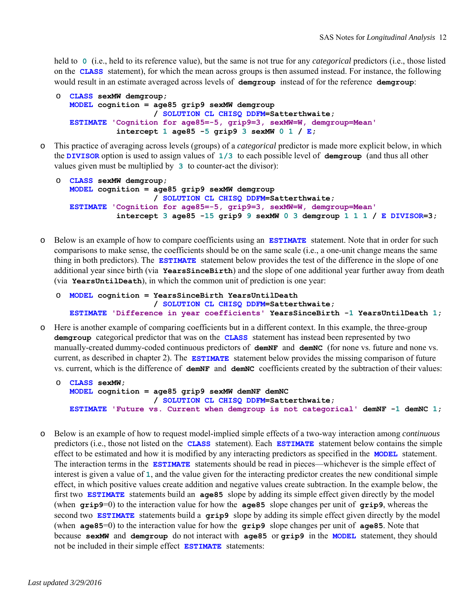held to **0** (i.e., held to its reference value), but the same is not true for any *categorical* predictors (i.e., those listed on the **CLASS** statement), for which the mean across groups is then assumed instead. For instance, the following would result in an estimate averaged across levels of **demgroup** instead of for the reference **demgroup**:

```
o CLASS sexMW demgroup;
  MODEL cognition = age85 grip9 sexMW demgroup 
                      / SOLUTION CL CHISQ DDFM=Satterthwaite;
   ESTIMATE 'Cognition for age85=-5, grip9=3, sexMW=W, demgroup=Mean' 
              intercept 1 age85 -5 grip9 3 sexMW 0 1 / E;
```
o This practice of averaging across levels (groups) of a *categorical* predictor is made more explicit below, in which the **DIVISOR** option is used to assign values of **1/3** to each possible level of **demgroup** (and thus all other values given must be multiplied by **3** to counter-act the divisor):

```
o CLASS sexMW demgroup;
  MODEL cognition = age85 grip9 sexMW demgroup 
                      / SOLUTION CL CHISQ DDFM=Satterthwaite;
   ESTIMATE 'Cognition for age85=-5, grip9=3, sexMW=W, demgroup=Mean' 
              intercept 3 age85 -15 grip9 9 sexMW 0 3 demgroup 1 1 1 / E DIVISOR=3;
```
o Below is an example of how to compare coefficients using an **ESTIMATE** statement. Note that in order for such comparisons to make sense, the coefficients should be on the same scale (i.e., a one-unit change means the same thing in both predictors). The **ESTIMATE** statement below provides the test of the difference in the slope of one additional year since birth (via **YearsSinceBirth**) and the slope of one additional year further away from death (via **YearsUntilDeath**), in which the common unit of prediction is one year:

```
o MODEL cognition = YearsSinceBirth YearsUntilDeath 
                      / SOLUTION CL CHISQ DDFM=Satterthwaite;
   ESTIMATE 'Difference in year coefficients' YearsSinceBirth -1 YearsUntilDeath 1;
```
o Here is another example of comparing coefficients but in a different context. In this example, the three-group **demgroup** categorical predictor that was on the **CLASS** statement has instead been represented by two manually-created dummy-coded continuous predictors of **demNF** and **demNC** (for none vs. future and none vs. current, as described in chapter 2). The **ESTIMATE** statement below provides the missing comparison of future vs. current, which is the difference of **demNF** and **demNC** coefficients created by the subtraction of their values:

```
o CLASS sexMW;
  MODEL cognition = age85 grip9 sexMW demNF demNC 
                      / SOLUTION CL CHISQ DDFM=Satterthwaite;
   ESTIMATE 'Future vs. Current when demgroup is not categorical' demNF -1 demNC 1;
```
o Below is an example of how to request model-implied simple effects of a two-way interaction among *continuous* predictors (i.e., those not listed on the **CLASS** statement). Each **ESTIMATE** statement below contains the simple effect to be estimated and how it is modified by any interacting predictors as specified in the **MODEL** statement. The interaction terms in the **ESTIMATE** statements should be read in pieces—whichever is the simple effect of interest is given a value of **1**, and the value given for the interacting predictor creates the new conditional simple effect, in which positive values create addition and negative values create subtraction. In the example below, the first two **ESTIMATE** statements build an **age85** slope by adding its simple effect given directly by the model (when **grip9**=0) to the interaction value for how the **age85** slope changes per unit of **grip9**, whereas the second two **ESTIMATE** statements build a **grip9** slope by adding its simple effect given directly by the model (when **age85**=0) to the interaction value for how the **grip9** slope changes per unit of **age85**. Note that because **sexMW** and **demgroup** do not interact with **age85** or **grip9** in the **MODEL** statement, they should not be included in their simple effect **ESTIMATE** statements: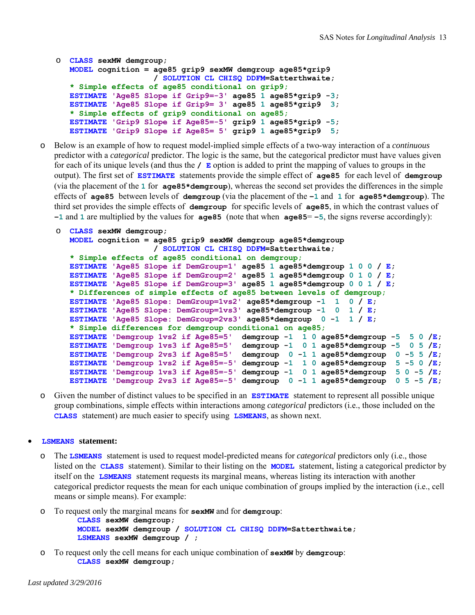```
o CLASS sexMW demgroup;
  MODEL cognition = age85 grip9 sexMW demgroup age85*grip9 
                      / SOLUTION CL CHISQ DDFM=Satterthwaite; 
   * Simple effects of age85 conditional on grip9;
   ESTIMATE 'Age85 Slope if Grip9=-3' age85 1 age85*grip9 -3; 
   ESTIMATE 'Age85 Slope if Grip9= 3' age85 1 age85*grip9 3; 
   * Simple effects of grip9 conditional on age85;
   ESTIMATE 'Grip9 Slope if Age85=-5' grip9 1 age85*grip9 -5; 
   ESTIMATE 'Grip9 Slope if Age85= 5' grip9 1 age85*grip9 5;
```
o Below is an example of how to request model-implied simple effects of a two-way interaction of a *continuous* predictor with a *categorical* predictor. The logic is the same, but the categorical predictor must have values given for each of its unique levels (and thus the **/ E** option is added to print the mapping of values to groups in the output). The first set of **ESTIMATE** statements provide the simple effect of **age85** for each level of **demgroup**  (via the placement of the **1** for **age85\*demgroup**), whereas the second set provides the differences in the simple effects of **age85** between levels of **demgroup** (via the placement of the **−1** and **1** for **age85\*demgroup**). The third set provides the simple effects of **demgroup** for specific levels of **age85**, in which the contrast values of **−1** and **1** are multiplied by the values for **age85** (note that when **age85** = −5, the signs reverse accordingly):

```
o CLASS sexMW demgroup;
  MODEL cognition = age85 grip9 sexMW demgroup age85*demgroup 
                      / SOLUTION CL CHISQ DDFM=Satterthwaite; 
   * Simple effects of age85 conditional on demgroup;
   ESTIMATE 'Age85 Slope if DemGroup=1' age85 1 age85*demgroup 1 0 0 / E; 
   ESTIMATE 'Age85 Slope if DemGroup=2' age85 1 age85*demgroup 0 1 0 / E; 
  ESTIMATE 'Age85 Slope if DemGroup=3' age85 1 age85*demgroup 0 0 1 / E; 
   * Differences of simple effects of age85 between levels of demgroup;
  ESTIMATE 'Age85 Slope: DemGroup=1vs2' age85*demgroup -1 1 0 / E; 
  ESTIMATE 'Age85 Slope: DemGroup=1vs3' age85*demgroup -1 0 1 / E; 
  ESTIMATE 'Age85 Slope: DemGroup=2vs3' age85*demgroup 0 -1 1 / E; 
   * Simple differences for demgroup conditional on age85;
   ESTIMATE 'Demgroup 1vs2 if Age85=5' demgroup -1 1 0 age85*demgroup -5 5 0 /E; 
   ESTIMATE 'Demgroup 1vs3 if Age85=5' demgroup -1 0 1 age85*demgroup -5 0 5 /E; 
   ESTIMATE 'Demgroup 2vs3 if Age85=5' demgroup 0 -1 1 age85*demgroup 0 -5 5 /E; 
   ESTIMATE 'Demgroup 1vs2 if Age85=-5' demgroup -1 1 0 age85*demgroup 5 -5 0 /E; 
   ESTIMATE 'Demgroup 1vs3 if Age85=-5' demgroup -1 0 1 age85*demgroup 5 0 -5 /E; 
   ESTIMATE 'Demgroup 2vs3 if Age85=-5' demgroup 0 -1 1 age85*demgroup 0 5 -5 /E;
```
o Given the number of distinct values to be specified in an **ESTIMATE** statement to represent all possible unique group combinations, simple effects within interactions among *categorical* predictors (i.e., those included on the **CLASS** statement) are much easier to specify using **LSMEANS**, as shown next.

#### **LSMEANS statement:**

- o The **LSMEANS** statement is used to request model-predicted means for *categorical* predictors only (i.e., those listed on the **CLASS** statement). Similar to their listing on the **MODEL** statement, listing a categorical predictor by itself on the **LSMEANS** statement requests its marginal means, whereas listing its interaction with another categorical predictor requests the mean for each unique combination of groups implied by the interaction (i.e., cell means or simple means). For example:
- o To request only the marginal means for **sexMW** and for **demgroup**:  **CLASS sexMW demgroup; MODEL sexMW demgroup / SOLUTION CL CHISQ DDFM=Satterthwaite; LSMEANS sexMW demgroup / ;**
- o To request only the cell means for each unique combination of **sexMW** by **demgroup**:  **CLASS sexMW demgroup;**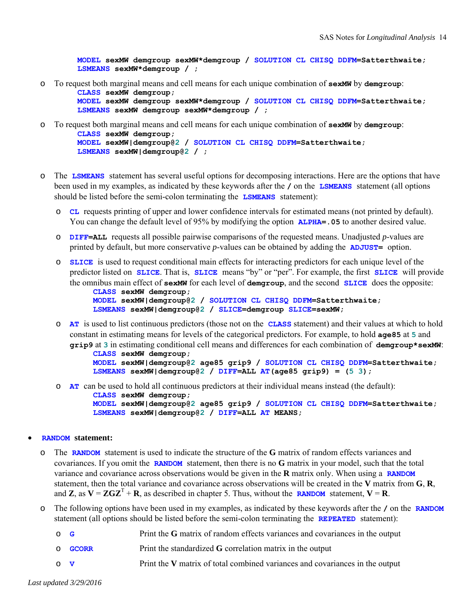**MODEL sexMW demgroup sexMW\*demgroup / SOLUTION CL CHISQ DDFM=Satterthwaite; LSMEANS sexMW\*demgroup / ;** 

o To request both marginal means and cell means for each unique combination of **sexMW** by **demgroup**:  **CLASS sexMW demgroup;** 

 **MODEL sexMW demgroup sexMW\*demgroup / SOLUTION CL CHISQ DDFM=Satterthwaite; LSMEANS sexMW demgroup sexMW\*demgroup / ;** 

- o To request both marginal means and cell means for each unique combination of **sexMW** by **demgroup**:  **CLASS sexMW demgroup; MODEL sexMW|demgroup@2 / SOLUTION CL CHISQ DDFM=Satterthwaite; LSMEANS sexMW|demgroup@2 / ;**
- o The **LSMEANS** statement has several useful options for decomposing interactions. Here are the options that have been used in my examples, as indicated by these keywords after the **/** on the **LSMEANS** statement (all options should be listed before the semi-colon terminating the **LSMEANS** statement):
	- o **CL** requests printing of upper and lower confidence intervals for estimated means (not printed by default). You can change the default level of 95% by modifying the option **ALPHA=.05** to another desired value.
	- o **DIFF=ALL** requests all possible pairwise comparisons of the requested means. Unadjusted *p*-values are printed by default, but more conservative *p*-values can be obtained by adding the **ADJUST=** option.
	- o **SLICE** is used to request conditional main effects for interacting predictors for each unique level of the predictor listed on **SLICE**. That is, **SLICE** means "by" or "per". For example, the first **SLICE** will provide the omnibus main effect of **sexMW** for each level of **demgroup**, and the second **SLICE** does the opposite:

```
 CLASS sexMW demgroup; 
 MODEL sexMW|demgroup@2 / SOLUTION CL CHISQ DDFM=Satterthwaite;
 LSMEANS sexMW|demgroup@2 / SLICE=demgroup SLICE=sexMW;
```
o **AT** is used to list continuous predictors (those not on the **CLASS** statement) and their values at which to hold constant in estimating means for levels of the categorical predictors. For example, to hold **age85** at **5** and **grip9** at **3** in estimating conditional cell means and differences for each combination of **demgroup\*sexMW**:

```
 CLASS sexMW demgroup; 
 MODEL sexMW|demgroup@2 age85 grip9 / SOLUTION CL CHISQ DDFM=Satterthwaite;
 LSMEANS sexMW|demgroup@2 / DIFF=ALL AT(age85 grip9) = (5 3);
```
o **AT** can be used to hold all continuous predictors at their individual means instead (the default):

```
 CLASS sexMW demgroup; 
 MODEL sexMW|demgroup@2 age85 grip9 / SOLUTION CL CHISQ DDFM=Satterthwaite;
 LSMEANS sexMW|demgroup@2 / DIFF=ALL AT MEANS;
```
#### **RANDOM statement:**

- The **RANDOM** statement is used to indicate the structure of the **G** matrix of random effects variances and covariances. If you omit the **RANDOM** statement, then there is no **G** matrix in your model, such that the total variance and covariance across observations would be given in the **R** matrix only. When using a **RANDOM**  statement, then the total variance and covariance across observations will be created in the **V** matrix from **G**, **R**, and **Z**, as  $V = ZGZ^{T} + R$ , as described in chapter 5. Thus, without the **RANDOM** statement,  $V = R$ .
- o The following options have been used in my examples, as indicated by these keywords after the **/** on the **RANDOM**  statement (all options should be listed before the semi-colon terminating the **REPEATED** statement):

| $\circ$ G |                | Print the G matrix of random effects variances and covariances in the output |
|-----------|----------------|------------------------------------------------------------------------------|
|           | O <b>GCORR</b> | Print the standardized G correlation matrix in the output                    |
| $\circ$ v |                | Print the V matrix of total combined variances and covariances in the output |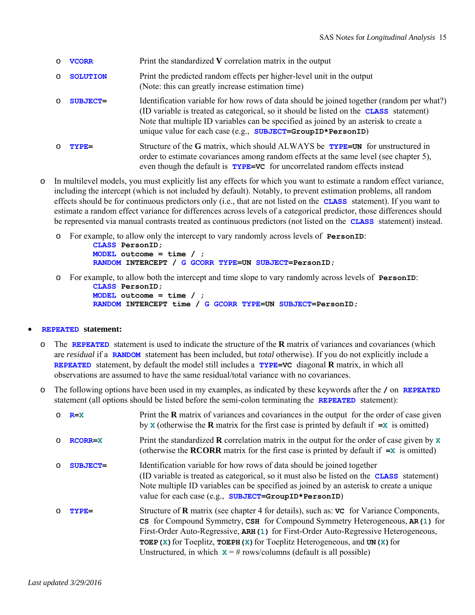| $\circ$  | <b>VCORR</b>    | Print the standardized V correlation matrix in the output                                                                                                                                                                                                                                                                                                 |
|----------|-----------------|-----------------------------------------------------------------------------------------------------------------------------------------------------------------------------------------------------------------------------------------------------------------------------------------------------------------------------------------------------------|
| $\circ$  | <b>SOLUTION</b> | Print the predicted random effects per higher-level unit in the output<br>(Note: this can greatly increase estimation time)                                                                                                                                                                                                                               |
| $\Omega$ | <b>SUBJECT=</b> | Identification variable for how rows of data should be joined together (random per what?)<br>(ID variable is treated as categorical, so it should be listed on the <b>CLASS</b> statement)<br>Note that multiple ID variables can be specified as joined by an asterisk to create a<br>unique value for each case (e.g., $SUBJECT=GroupID * Person ID)$ ) |
| ∩        | TYPE=           | Structure of the G matrix, which should ALWAYS be <b>TYPE=UN</b> for unstructured in<br>order to estimate covariances among random effects at the same level (see chapter 5),<br>even though the default is <b>TYPE=VC</b> for uncorrelated random effects instead                                                                                        |

- o In multilevel models, you must explicitly list any effects for which you want to estimate a random effect variance, including the intercept (which is not included by default). Notably, to prevent estimation problems, all random effects should be for continuous predictors only (i.e., that are not listed on the **CLASS** statement). If you want to estimate a random effect variance for differences across levels of a categorical predictor, those differences should be represented via manual contrasts treated as continuous predictors (not listed on the **CLASS** statement) instead.
	- o For example, to allow only the intercept to vary randomly across levels of **PersonID**:

```
 CLASS PersonID; 
 MODEL outcome = time / ;
 RANDOM INTERCEPT / G GCORR TYPE=UN SUBJECT=PersonID;
```
o For example, to allow both the intercept and time slope to vary randomly across levels of **PersonID**:

```
 CLASS PersonID; 
 MODEL outcome = time / ;
 RANDOM INTERCEPT time / G GCORR TYPE=UN SUBJECT=PersonID;
```
### **REPEATED statement:**

- o The **REPEATED** statement is used to indicate the structure of the **R** matrix of variances and covariances (which are *residual* if a **RANDOM** statement has been included, but *total* otherwise). If you do not explicitly include a **REPEATED** statement, by default the model still includes a **TYPE=VC** diagonal **R** matrix, in which all observations are assumed to have the same residual/total variance with no covariances.
- o The following options have been used in my examples, as indicated by these keywords after the **/** on **REPEATED**  statement (all options should be listed before the semi-colon terminating the **REPEATED** statement):

| $\circ$ | $R = X$         | Print the $\bf{R}$ matrix of variances and covariances in the output for the order of case given<br>by <b>x</b> (otherwise the <b>R</b> matrix for the first case is printed by default if $=x$ is omitted)                                                                                                                                                                                                                                             |
|---------|-----------------|---------------------------------------------------------------------------------------------------------------------------------------------------------------------------------------------------------------------------------------------------------------------------------------------------------------------------------------------------------------------------------------------------------------------------------------------------------|
| $\circ$ | <b>RCORR=X</b>  | Print the standardized <b>R</b> correlation matrix in the output for the order of case given by $x$<br>(otherwise the <b>RCORR</b> matrix for the first case is printed by default if $=x$ is omitted)                                                                                                                                                                                                                                                  |
| $\circ$ | <b>SUBJECT=</b> | Identification variable for how rows of data should be joined together<br>(ID variable is treated as categorical, so it must also be listed on the <b>CLASS</b> statement)<br>Note multiple ID variables can be specified as joined by an asterisk to create a unique<br>value for each case (e.g., SUBJECT=GroupID*PersonID)                                                                                                                           |
| $\circ$ | $TYPE=$         | Structure of <b>R</b> matrix (see chapter 4 for details), such as: vc for Variance Components,<br>CS for Compound Symmetry, CSH for Compound Symmetry Heterogeneous, AR(1) for<br>First-Order Auto-Regressive, ARH (1) for First-Order Auto-Regressive Heterogeneous,<br><b>TOEP</b> ( $x$ ) for Toeplitz, <b>TOEPH</b> ( $x$ ) for Toeplitz Heterogeneous, and UN ( $x$ ) for<br>Unstructured, in which $x = #$ rows/columns (default is all possible) |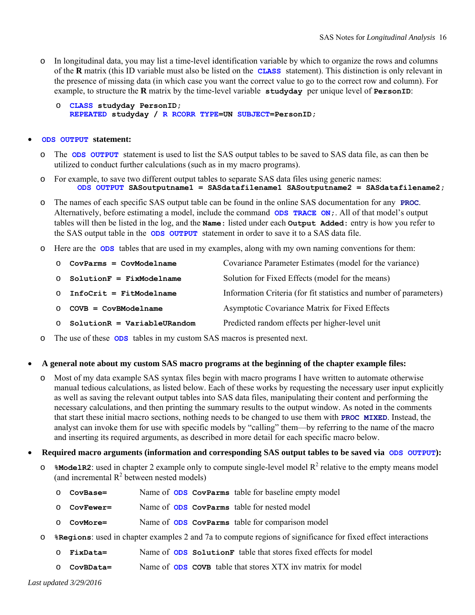- o In longitudinal data, you may list a time-level identification variable by which to organize the rows and columns of the **R** matrix (this ID variable must also be listed on the **CLASS** statement). This distinction is only relevant in the presence of missing data (in which case you want the correct value to go to the correct row and column). For example, to structure the **R** matrix by the time-level variable **studyday** per unique level of **PersonID**:
	- o **CLASS studyday PersonID; REPEATED studyday / R RCORR TYPE=UN SUBJECT=PersonID;**

#### **ODS OUTPUT statement:**

- o The **ODS OUTPUT** statement is used to list the SAS output tables to be saved to SAS data file, as can then be utilized to conduct further calculations (such as in my macro programs).
- o For example, to save two different output tables to separate SAS data files using generic names:  **ODS OUTPUT SASoutputname1 = SASdatafilename1 SASoutputname2 = SASdatafilename2;**
- o The names of each specific SAS output table can be found in the online SAS documentation for any **PROC**. Alternatively, before estimating a model, include the command **ODS TRACE ON;**. All of that model's output tables will then be listed in the log, and the **Name:** listed under each **Output Added:** entry is how you refer to the SAS output table in the **ODS OUTPUT** statement in order to save it to a SAS data file.
- o Here are the **ODS** tables that are used in my examples, along with my own naming conventions for them:

| $\circ$ CovParms = CovModelname | Covariance Parameter Estimates (model for the variance)            |
|---------------------------------|--------------------------------------------------------------------|
| $O$ SolutionF = FixModelname    | Solution for Fixed Effects (model for the means)                   |
| $O$ InfoCrit = FitModelname     | Information Criteria (for fit statistics and number of parameters) |
| $\circ$ COVB = CovBModelname    | Asymptotic Covariance Matrix for Fixed Effects                     |
| $O$ SolutionR = VariableURandom | Predicted random effects per higher-level unit                     |
|                                 |                                                                    |

o The use of these **ODS** tables in my custom SAS macros is presented next.

#### **A general note about my custom SAS macro programs at the beginning of the chapter example files:**

- o Most of my data example SAS syntax files begin with macro programs I have written to automate otherwise manual tedious calculations, as listed below. Each of these works by requesting the necessary user input explicitly as well as saving the relevant output tables into SAS data files, manipulating their content and performing the necessary calculations, and then printing the summary results to the output window. As noted in the comments that start these initial macro sections, nothing needs to be changed to use them with **PROC MIXED**. Instead, the analyst can invoke them for use with specific models by "calling" them—by referring to the name of the macro and inserting its required arguments, as described in more detail for each specific macro below.
- Required macro arguments (information and corresponding SAS output tables to be saved via ODS OUTPUT):
	- $\circ$  **\*ModelR2**: used in chapter 2 example only to compute single-level model R<sup>2</sup> relative to the empty means model (and incremental  $R^2$  between nested models)
		- o **CovBase=** Name of **ODS CovParms** table for baseline empty model
		- o **CovFewer=** Name of **ODS CovParms** table for nested model
		- o **CovMore=** Name of **ODS CovParms** table for comparison model
	- o **%Regions**: used in chapter examples 2 and 7a to compute regions of significance for fixed effect interactions
		- o **FixData=** Name of **ODS SolutionF** table that stores fixed effects for model
		- o **CovBData=** Name of **ODS COVB** table that stores XTX inv matrix for model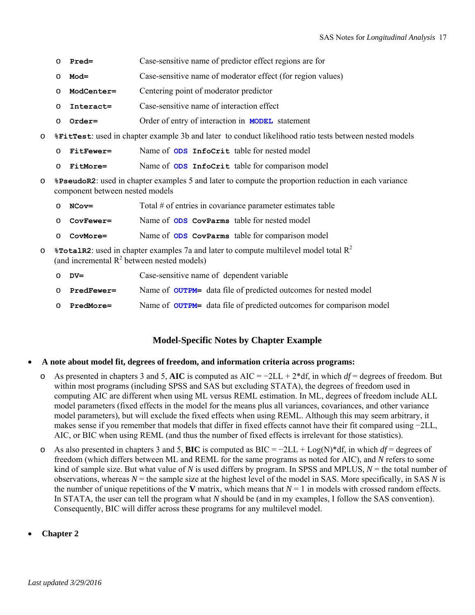- o **Pred=** Case-sensitive name of predictor effect regions are for
- o **Mod=** Case-sensitive name of moderator effect (for region values)
- o **ModCenter=** Centering point of moderator predictor
- o **Interact=** Case-sensitive name of interaction effect
- o **Order=** Order of entry of interaction in **MODEL** statement
- o **%FitTest**: used in chapter example 3b and later to conduct likelihood ratio tests between nested models
	- o **FitFewer=** Name of **ODS InfoCrit** table for nested model
	- o **FitMore=** Name of **ODS InfoCrit** table for comparison model
- o **%PseudoR2**: used in chapter examples 5 and later to compute the proportion reduction in each variance component between nested models
	- o **NCov=** Total # of entries in covariance parameter estimates table
	- o **CovFewer=** Name of **ODS CovParms** table for nested model
	- o **CovMore=** Name of **ODS CovParms** table for comparison model
- $\circ$  **\*TotalR2**: used in chapter examples 7a and later to compute multilevel model total  $R^2$ (and incremental  $R^2$  between nested models)
	- o **DV=** Case-sensitive name of dependent variable
	- o **PredFewer=** Name of **OUTPM=** data file of predicted outcomes for nested model
	- o **PredMore=** Name of **OUTPM=** data file of predicted outcomes for comparison model

#### **Model-Specific Notes by Chapter Example**

- **A note about model fit, degrees of freedom, and information criteria across programs:** 
	- o As presented in chapters 3 and 5, **AIC** is computed as AIC = −2LL + 2\*df, in which *df* = degrees of freedom. But within most programs (including SPSS and SAS but excluding STATA), the degrees of freedom used in computing AIC are different when using ML versus REML estimation. In ML, degrees of freedom include ALL model parameters (fixed effects in the model for the means plus all variances, covariances, and other variance model parameters), but will exclude the fixed effects when using REML. Although this may seem arbitrary, it makes sense if you remember that models that differ in fixed effects cannot have their fit compared using −2LL, AIC, or BIC when using REML (and thus the number of fixed effects is irrelevant for those statistics).
	- o As also presented in chapters 3 and 5, **BIC** is computed as BIC = −2LL + Log(N)\*df, in which *df* = degrees of freedom (which differs between ML and REML for the same programs as noted for AIC), and *N* refers to some kind of sample size. But what value of *N* is used differs by program. In SPSS and MPLUS, *N* = the total number of observations, whereas *N* = the sample size at the highest level of the model in SAS. More specifically, in SAS *N* is the number of unique repetitions of the **V** matrix, which means that  $N = 1$  in models with crossed random effects. In STATA, the user can tell the program what *N* should be (and in my examples, I follow the SAS convention). Consequently, BIC will differ across these programs for any multilevel model.
- **Chapter 2**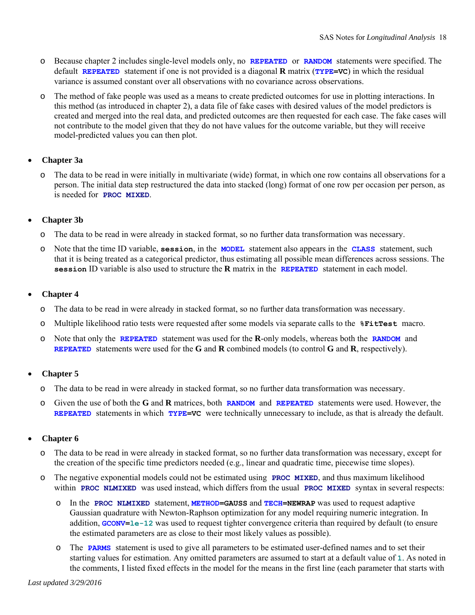- o Because chapter 2 includes single-level models only, no **REPEATED** or **RANDOM** statements were specified. The default **REPEATED** statement if one is not provided is a diagonal **R** matrix (**TYPE=VC**) in which the residual variance is assumed constant over all observations with no covariance across observations.
- o The method of fake people was used as a means to create predicted outcomes for use in plotting interactions. In this method (as introduced in chapter 2), a data file of fake cases with desired values of the model predictors is created and merged into the real data, and predicted outcomes are then requested for each case. The fake cases will not contribute to the model given that they do not have values for the outcome variable, but they will receive model-predicted values you can then plot.

# **Chapter 3a**

o The data to be read in were initially in multivariate (wide) format, in which one row contains all observations for a person. The initial data step restructured the data into stacked (long) format of one row per occasion per person, as is needed for **PROC MIXED**.

### **Chapter 3b**

- o The data to be read in were already in stacked format, so no further data transformation was necessary.
- o Note that the time ID variable, **session**, in the **MODEL** statement also appears in the **CLASS** statement, such that it is being treated as a categorical predictor, thus estimating all possible mean differences across sessions. The **session** ID variable is also used to structure the **R** matrix in the **REPEATED** statement in each model.

### **Chapter 4**

- o The data to be read in were already in stacked format, so no further data transformation was necessary.
- o Multiple likelihood ratio tests were requested after some models via separate calls to the **%FitTest** macro.
- o Note that only the **REPEATED** statement was used for the **R**-only models, whereas both the **RANDOM** and **REPEATED** statements were used for the **G** and **R** combined models (to control **G** and **R**, respectively).

### **Chapter 5**

- o The data to be read in were already in stacked format, so no further data transformation was necessary.
- o Given the use of both the **G** and **R** matrices, both **RANDOM** and **REPEATED** statements were used. However, the **REPEATED** statements in which **TYPE=VC** were technically unnecessary to include, as that is already the default.

### **Chapter 6**

- o The data to be read in were already in stacked format, so no further data transformation was necessary, except for the creation of the specific time predictors needed (e.g., linear and quadratic time, piecewise time slopes).
- o The negative exponential models could not be estimated using **PROC MIXED**, and thus maximum likelihood within **PROC NLMIXED** was used instead, which differs from the usual **PROC MIXED** syntax in several respects:
	- o In the **PROC NLMIXED** statement, **METHOD=GAUSS** and **TECH=NEWRAP** was used to request adaptive Gaussian quadrature with Newton-Raphson optimization for any model requiring numeric integration. In addition, **GCONV=le-12** was used to request tighter convergence criteria than required by default (to ensure the estimated parameters are as close to their most likely values as possible).
	- o The **PARMS** statement is used to give all parameters to be estimated user-defined names and to set their starting values for estimation. Any omitted parameters are assumed to start at a default value of **1**. As noted in the comments, I listed fixed effects in the model for the means in the first line (each parameter that starts with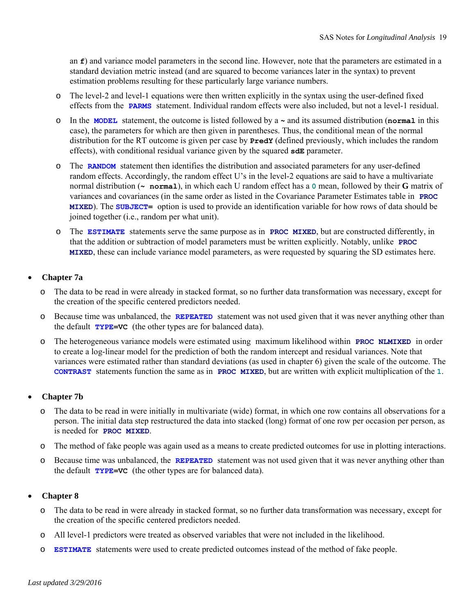an **f**) and variance model parameters in the second line. However, note that the parameters are estimated in a standard deviation metric instead (and are squared to become variances later in the syntax) to prevent estimation problems resulting for these particularly large variance numbers.

- o The level-2 and level-1 equations were then written explicitly in the syntax using the user-defined fixed effects from the **PARMS** statement. Individual random effects were also included, but not a level-1 residual.
- o In the **MODEL** statement, the outcome is listed followed by a **~** and its assumed distribution (**normal** in this case), the parameters for which are then given in parentheses. Thus, the conditional mean of the normal distribution for the RT outcome is given per case by **PredY** (defined previously, which includes the random effects), with conditional residual variance given by the squared **sdE** parameter.
- o The **RANDOM** statement then identifies the distribution and associated parameters for any user-defined random effects. Accordingly, the random effect U's in the level-2 equations are said to have a multivariate normal distribution (**~ normal**), in which each U random effect has a **0** mean, followed by their **G** matrix of variances and covariances (in the same order as listed in the Covariance Parameter Estimates table in **PROC MIXED**). The **SUBJECT=** option is used to provide an identification variable for how rows of data should be joined together (i.e., random per what unit).
- o The **ESTIMATE** statements serve the same purpose as in **PROC MIXED**, but are constructed differently, in that the addition or subtraction of model parameters must be written explicitly. Notably, unlike **PROC MIXED**, these can include variance model parameters, as were requested by squaring the SD estimates here.

### **Chapter 7a**

- o The data to be read in were already in stacked format, so no further data transformation was necessary, except for the creation of the specific centered predictors needed.
- o Because time was unbalanced, the **REPEATED** statement was not used given that it was never anything other than the default **TYPE=VC** (the other types are for balanced data).
- o The heterogeneous variance models were estimated using maximum likelihood within **PROC NLMIXED** in order to create a log-linear model for the prediction of both the random intercept and residual variances. Note that variances were estimated rather than standard deviations (as used in chapter 6) given the scale of the outcome. The **CONTRAST** statements function the same as in **PROC MIXED**, but are written with explicit multiplication of the **1**.

### **Chapter 7b**

- o The data to be read in were initially in multivariate (wide) format, in which one row contains all observations for a person. The initial data step restructured the data into stacked (long) format of one row per occasion per person, as is needed for **PROC MIXED**.
- o The method of fake people was again used as a means to create predicted outcomes for use in plotting interactions.
- o Because time was unbalanced, the **REPEATED** statement was not used given that it was never anything other than the default **TYPE=VC** (the other types are for balanced data).

### **Chapter 8**

- o The data to be read in were already in stacked format, so no further data transformation was necessary, except for the creation of the specific centered predictors needed.
- o All level-1 predictors were treated as observed variables that were not included in the likelihood.
- o **ESTIMATE** statements were used to create predicted outcomes instead of the method of fake people.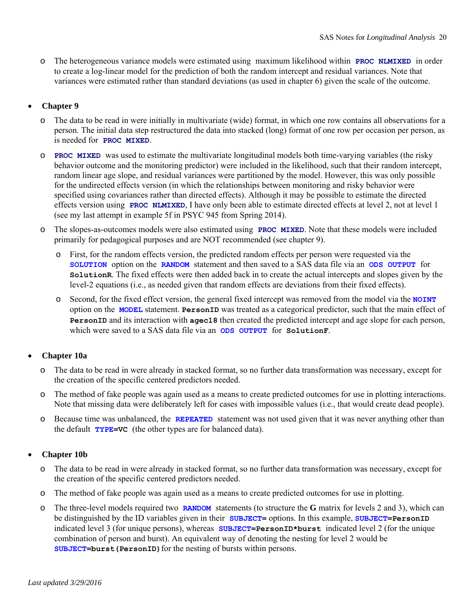o The heterogeneous variance models were estimated using maximum likelihood within **PROC NLMIXED** in order to create a log-linear model for the prediction of both the random intercept and residual variances. Note that variances were estimated rather than standard deviations (as used in chapter 6) given the scale of the outcome.

### **Chapter 9**

- The data to be read in were initially in multivariate (wide) format, in which one row contains all observations for a person. The initial data step restructured the data into stacked (long) format of one row per occasion per person, as is needed for **PROC MIXED**.
- o **PROC MIXED** was used to estimate the multivariate longitudinal models both time-varying variables (the risky behavior outcome and the monitoring predictor) were included in the likelihood, such that their random intercept, random linear age slope, and residual variances were partitioned by the model. However, this was only possible for the undirected effects version (in which the relationships between monitoring and risky behavior were specified using covariances rather than directed effects). Although it may be possible to estimate the directed effects version using **PROC NLMIXED**, I have only been able to estimate directed effects at level 2, not at level 1 (see my last attempt in example 5f in PSYC 945 from Spring 2014).
- o The slopes-as-outcomes models were also estimated using **PROC MIXED**. Note that these models were included primarily for pedagogical purposes and are NOT recommended (see chapter 9).
	- o First, for the random effects version, the predicted random effects per person were requested via the **SOLUTION** option on the **RANDOM** statement and then saved to a SAS data file via an **ODS OUTPUT** for **SolutionR**. The fixed effects were then added back in to create the actual intercepts and slopes given by the level-2 equations (i.e., as needed given that random effects are deviations from their fixed effects).
	- o Second, for the fixed effect version, the general fixed intercept was removed from the model via the **NOINT** option on the **MODEL** statement. **PersonID** was treated as a categorical predictor, such that the main effect of **PersonID** and its interaction with **agec18** then created the predicted intercept and age slope for each person, which were saved to a SAS data file via an **ODS OUTPUT** for **SolutionF**.

### **Chapter 10a**

- o The data to be read in were already in stacked format, so no further data transformation was necessary, except for the creation of the specific centered predictors needed.
- o The method of fake people was again used as a means to create predicted outcomes for use in plotting interactions. Note that missing data were deliberately left for cases with impossible values (i.e., that would create dead people).
- o Because time was unbalanced, the **REPEATED** statement was not used given that it was never anything other than the default **TYPE=VC** (the other types are for balanced data).

### **Chapter 10b**

- The data to be read in were already in stacked format, so no further data transformation was necessary, except for the creation of the specific centered predictors needed.
- o The method of fake people was again used as a means to create predicted outcomes for use in plotting.
- o The three-level models required two **RANDOM** statements (to structure the **G** matrix for levels 2 and 3), which can be distinguished by the ID variables given in their **SUBJECT=** options. In this example, **SUBJECT=PersonID**  indicated level 3 (for unique persons), whereas **SUBJECT=PersonID\*burst** indicated level 2 (for the unique combination of person and burst). An equivalent way of denoting the nesting for level 2 would be **SUBJECT=burst (PersonID)** for the nesting of bursts within persons.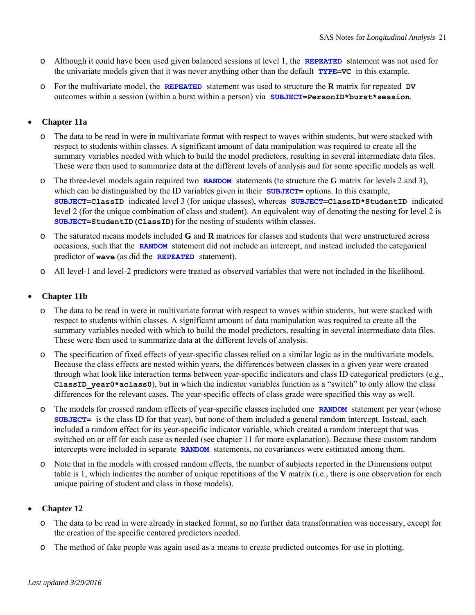- o Although it could have been used given balanced sessions at level 1, the **REPEATED** statement was not used for the univariate models given that it was never anything other than the default **TYPE=VC** in this example.
- o For the multivariate model, the **REPEATED** statement was used to structure the **R** matrix for repeated **DV**  outcomes within a session (within a burst within a person) via **SUBJECT=PersonID\*burst\*session**.

## **Chapter 11a**

- The data to be read in were in multivariate format with respect to waves within students, but were stacked with respect to students within classes. A significant amount of data manipulation was required to create all the summary variables needed with which to build the model predictors, resulting in several intermediate data files. These were then used to summarize data at the different levels of analysis and for some specific models as well.
- o The three-level models again required two **RANDOM** statements (to structure the **G** matrix for levels 2 and 3), which can be distinguished by the ID variables given in their **SUBJECT**= options. In this example, **SUBJECT=ClassID** indicated level 3 (for unique classes), whereas **SUBJECT=ClassID\*StudentID** indicated level 2 (for the unique combination of class and student). An equivalent way of denoting the nesting for level 2 is SUBJECT=StudentID (ClassID) for the nesting of students within classes.
- o The saturated means models included **G** and **R** matrices for classes and students that were unstructured across occasions, such that the **RANDOM** statement did not include an intercept, and instead included the categorical predictor of **wave** (as did the **REPEATED** statement).
- o All level-1 and level-2 predictors were treated as observed variables that were not included in the likelihood.

### **Chapter 11b**

- o The data to be read in were in multivariate format with respect to waves within students, but were stacked with respect to students within classes. A significant amount of data manipulation was required to create all the summary variables needed with which to build the model predictors, resulting in several intermediate data files. These were then used to summarize data at the different levels of analysis.
- o The specification of fixed effects of year-specific classes relied on a similar logic as in the multivariate models. Because the class effects are nested within years, the differences between classes in a given year were created through what look like interaction terms between year-specific indicators and class ID categorical predictors (e.g., **ClassID\_year0\*aclass0**), but in which the indicator variables function as a "switch" to only allow the class differences for the relevant cases. The year-specific effects of class grade were specified this way as well.
- o The models for crossed random effects of year-specific classes included one **RANDOM** statement per year (whose **SUBJECT=** is the class ID for that year), but none of them included a general random intercept. Instead, each included a random effect for its year-specific indicator variable, which created a random intercept that was switched on or off for each case as needed (see chapter 11 for more explanation). Because these custom random intercepts were included in separate **RANDOM** statements, no covariances were estimated among them.
- o Note that in the models with crossed random effects, the number of subjects reported in the Dimensions output table is 1, which indicates the number of unique repetitions of the **V** matrix (i.e., there is one observation for each unique pairing of student and class in those models).

### **Chapter 12**

- o The data to be read in were already in stacked format, so no further data transformation was necessary, except for the creation of the specific centered predictors needed.
- o The method of fake people was again used as a means to create predicted outcomes for use in plotting.